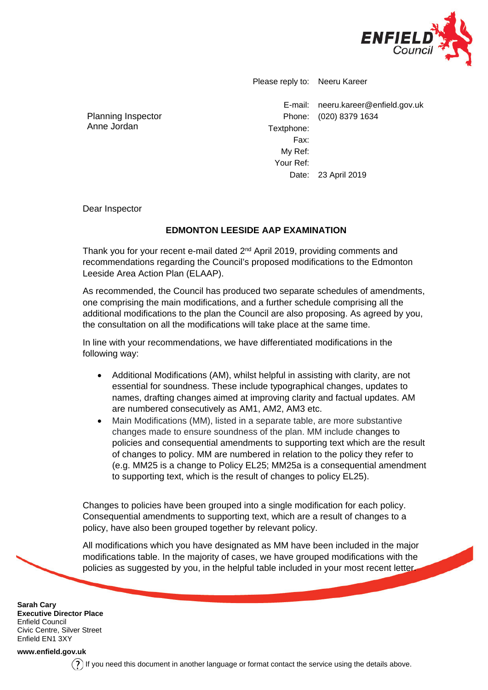

Please reply to: Neeru Kareer

Planning Inspector Anne Jordan

E-mail: neeru.kareer@enfield.gov.uk Phone: (020) 8379 1634 Textphone: Fax: My Ref: Your Ref: Date: 23 April 2019

Dear Inspector

## **EDMONTON LEESIDE AAP EXAMINATION**

Thank you for your recent e-mail dated 2<sup>nd</sup> April 2019, providing comments and recommendations regarding the Council's proposed modifications to the Edmonton Leeside Area Action Plan (ELAAP).

As recommended, the Council has produced two separate schedules of amendments, one comprising the main modifications, and a further schedule comprising all the additional modifications to the plan the Council are also proposing. As agreed by you, the consultation on all the modifications will take place at the same time.

In line with your recommendations, we have differentiated modifications in the following way:

- Additional Modifications (AM), whilst helpful in assisting with clarity, are not essential for soundness. These include typographical changes, updates to names, drafting changes aimed at improving clarity and factual updates. AM are numbered consecutively as AM1, AM2, AM3 etc.
- Main Modifications (MM), listed in a separate table, are more substantive changes made to ensure soundness of the plan. MM include changes to policies and consequential amendments to supporting text which are the result of changes to policy. MM are numbered in relation to the policy they refer to (e.g. MM25 is a change to Policy EL25; MM25a is a consequential amendment to supporting text, which is the result of changes to policy EL25).

Changes to policies have been grouped into a single modification for each policy. Consequential amendments to supporting text, which are a result of changes to a policy, have also been grouped together by relevant policy.

All modifications which you have designated as MM have been included in the major modifications table. In the majority of cases, we have grouped modifications with the policies as suggested by you, in the helpful table included in your most recent letter.

**Sarah Cary Executive Director Place** Enfield Council Civic Centre, Silver Street Enfield EN1 3XY

**[www.enfield.gov.uk](http://www.enfield.gov.uk/)**